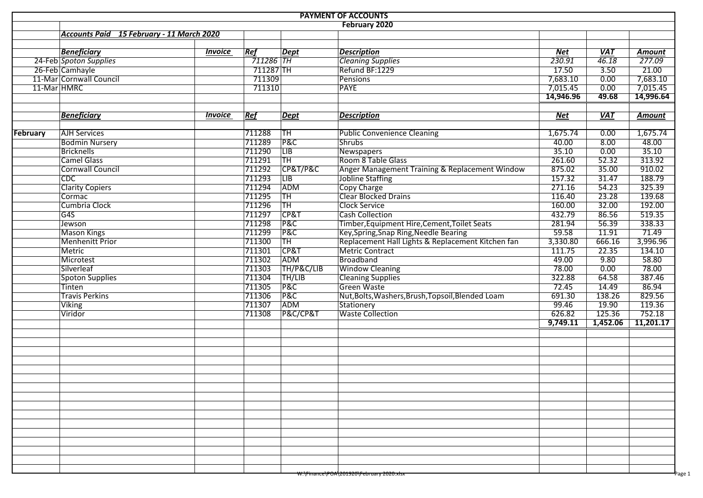| <b>PAYMENT OF ACCOUNTS</b> |                                           |                       |                  |                        |                                                   |            |                   |               |  |  |  |  |  |
|----------------------------|-------------------------------------------|-----------------------|------------------|------------------------|---------------------------------------------------|------------|-------------------|---------------|--|--|--|--|--|
| February 2020              |                                           |                       |                  |                        |                                                   |            |                   |               |  |  |  |  |  |
|                            | Accounts Paid 15 February - 11 March 2020 |                       |                  |                        |                                                   |            |                   |               |  |  |  |  |  |
|                            |                                           |                       |                  |                        |                                                   |            |                   |               |  |  |  |  |  |
|                            | <b>Beneficiary</b>                        | <b>Invoice</b>        | Ref              | Dept                   | <b>Description</b>                                | Net        | <b>VAT</b>        | Amount        |  |  |  |  |  |
|                            | 24-Feb Spoton Supplies                    |                       | 711286 TH        |                        | <b>Cleaning Supplies</b>                          | 230.91     | $\frac{1}{46.18}$ | 277.09        |  |  |  |  |  |
|                            | 26-Feb Camhayle                           |                       | 711287 TH        |                        | Refund BF:1229                                    | 17.50      | 3.50              | 21.00         |  |  |  |  |  |
|                            | 11-Mar Cornwall Council                   |                       | 711309           |                        | <b>Pensions</b>                                   | 7,683.10   | 0.00              | 7,683.10      |  |  |  |  |  |
|                            | 11-Mar HMRC                               |                       | 711310           |                        | <b>PAYE</b>                                       | 7,015.45   | 0.00              | 7,015.45      |  |  |  |  |  |
|                            |                                           |                       |                  |                        |                                                   | 14,946.96  | 49.68             | 14,996.64     |  |  |  |  |  |
|                            |                                           |                       |                  |                        |                                                   |            |                   |               |  |  |  |  |  |
|                            | <b>Beneficiary</b>                        | <i><b>Invoice</b></i> | Ref              | <b>Dept</b>            | <b>Description</b>                                | <b>Net</b> | <b>VAT</b>        | <b>Amount</b> |  |  |  |  |  |
| February                   | <b>AJH Services</b>                       |                       | 711288           | TH                     | <b>Public Convenience Cleaning</b>                | 1,675.74   | 0.00              | 1,675.74      |  |  |  |  |  |
|                            | <b>Bodmin Nursery</b>                     |                       | 711289           | <b>P&amp;C</b>         | <b>Shrubs</b>                                     | 40.00      | 8.00              | 48.00         |  |  |  |  |  |
|                            | <b>Bricknells</b>                         |                       | 711290           | $\overline{LIB}$       | <b>Newspapers</b>                                 | 35.10      | 0.00              | 35.10         |  |  |  |  |  |
|                            | <b>Camel Glass</b>                        |                       | 711291           | TH                     | Room 8 Table Glass                                | 261.60     | 52.32             | 313.92        |  |  |  |  |  |
|                            | <b>Cornwall Council</b>                   |                       | 711292           | CP&T/P&C               | Anger Management Training & Replacement Window    | 875.02     | 35.00             | 910.02        |  |  |  |  |  |
|                            | CDC                                       |                       | 711293           | $\overline{LB}$        | <b>Jobline Staffing</b>                           | 157.32     | 31.47             | 188.79        |  |  |  |  |  |
|                            | <b>Clarity Copiers</b>                    |                       | 711294           | ADM                    | Copy Charge                                       | 271.16     | 54.23             | 325.39        |  |  |  |  |  |
|                            | Cormac                                    |                       | 711295           | <b>TH</b>              | Clear Blocked Drains                              | 116.40     | 23.28             | 139.68        |  |  |  |  |  |
|                            | Cumbria Clock                             |                       | 711296           | TH                     | <b>Clock Service</b>                              | 160.00     | 32.00             | 192.00        |  |  |  |  |  |
|                            | G4S                                       |                       | 711297           | CP&T                   | <b>Cash Collection</b>                            | 432.79     | 86.56             | 519.35        |  |  |  |  |  |
|                            | Jewson                                    |                       | 711298           | P&C                    | Timber, Equipment Hire, Cement, Toilet Seats      | 281.94     | 56.39             | 338.33        |  |  |  |  |  |
|                            | <b>Mason Kings</b>                        |                       | 711299           | <b>P&amp;C</b>         | Key, Spring, Snap Ring, Needle Bearing            | 59.58      | 11.91             | 71.49         |  |  |  |  |  |
|                            | <b>Menhenitt Prior</b>                    |                       | 711300           | $\overline{\text{TH}}$ | Replacement Hall Lights & Replacement Kitchen fan | 3,330.80   | 666.16            | 3,996.96      |  |  |  |  |  |
|                            |                                           |                       |                  | <b>CP&amp;T</b>        | <b>Metric Contract</b>                            | 111.75     | 22.35             | 134.10        |  |  |  |  |  |
|                            | Metric                                    |                       | 711301<br>711302 |                        | <b>Broadband</b>                                  | 49.00      | 9.80              | 58.80         |  |  |  |  |  |
|                            | Microtest                                 |                       |                  | <b>ADM</b>             |                                                   |            |                   |               |  |  |  |  |  |
|                            | Silverleaf                                |                       | 711303           | TH/P&C/LIB             | <b>Window Cleaning</b>                            | 78.00      | 0.00              | 78.00         |  |  |  |  |  |
|                            | <b>Spoton Supplies</b>                    |                       | 711304           | TH/LIB                 | <b>Cleaning Supplies</b>                          | 322.88     | 64.58             | 387.46        |  |  |  |  |  |
|                            | Tinten                                    |                       | 711305           | <b>P&amp;C</b>         | <b>Green Waste</b>                                | 72.45      | 14.49             | 86.94         |  |  |  |  |  |
|                            | <b>Travis Perkins</b>                     |                       | 711306           | <b>P&amp;C</b>         | Nut, Bolts, Washers, Brush, Topsoil, Blended Loam | 691.30     | 138.26            | 829.56        |  |  |  |  |  |
|                            | <b>Viking</b>                             |                       | 711307           | ADM                    | Stationery                                        | 99.46      | 19.90             | 119.36        |  |  |  |  |  |
|                            | Viridor                                   |                       | 711308           | P&C/CP&T               | <b>Waste Collection</b>                           | 626.82     | 125.36            | 752.18        |  |  |  |  |  |
|                            |                                           |                       |                  |                        |                                                   | 9,749.11   | 1,452.06          | 11,201.17     |  |  |  |  |  |
|                            |                                           |                       |                  |                        |                                                   |            |                   |               |  |  |  |  |  |
|                            |                                           |                       |                  |                        |                                                   |            |                   |               |  |  |  |  |  |
|                            |                                           |                       |                  |                        |                                                   |            |                   |               |  |  |  |  |  |
|                            |                                           |                       |                  |                        |                                                   |            |                   |               |  |  |  |  |  |
|                            |                                           |                       |                  |                        |                                                   |            |                   |               |  |  |  |  |  |
|                            |                                           |                       |                  |                        |                                                   |            |                   |               |  |  |  |  |  |
|                            |                                           |                       |                  |                        |                                                   |            |                   |               |  |  |  |  |  |
|                            |                                           |                       |                  |                        |                                                   |            |                   |               |  |  |  |  |  |
|                            |                                           |                       |                  |                        |                                                   |            |                   |               |  |  |  |  |  |
|                            |                                           |                       |                  |                        |                                                   |            |                   |               |  |  |  |  |  |
|                            |                                           |                       |                  |                        |                                                   |            |                   |               |  |  |  |  |  |
|                            |                                           |                       |                  |                        |                                                   |            |                   |               |  |  |  |  |  |
|                            |                                           |                       |                  |                        |                                                   |            |                   |               |  |  |  |  |  |